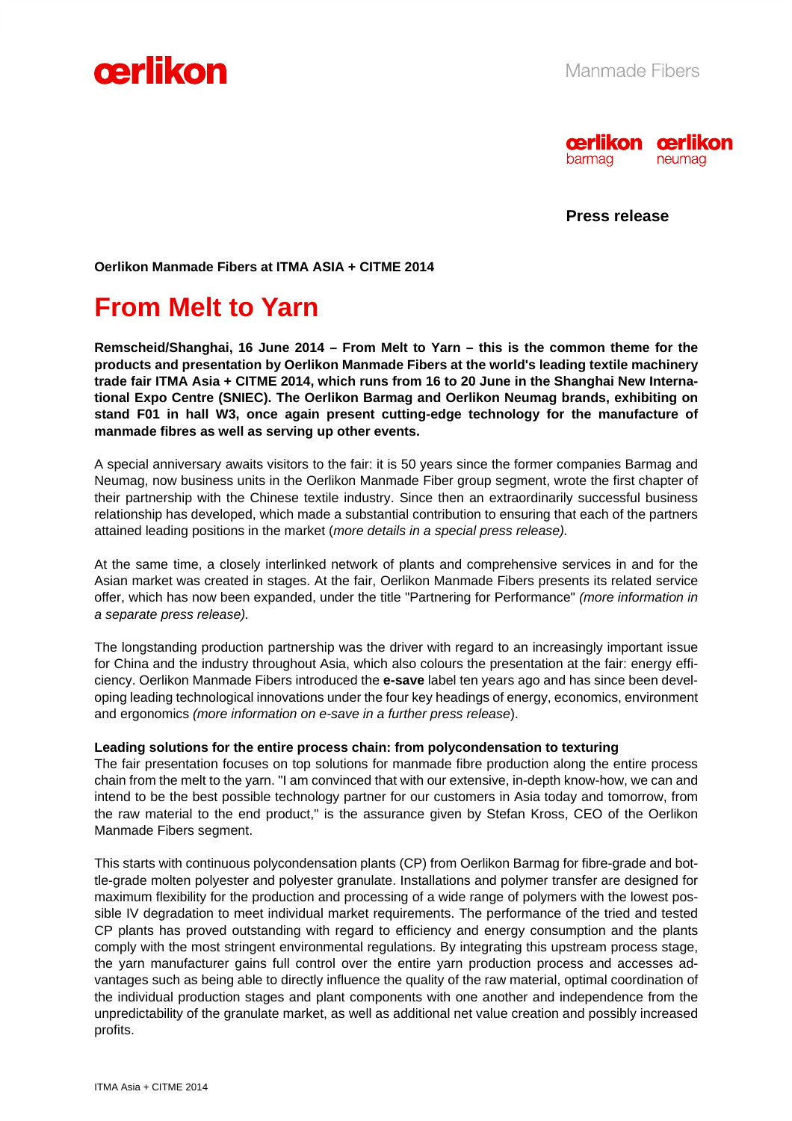



**Press release** 

**Oerlikon Manmade Fibers at ITMA ASIA + CITME 2014** 

# **From Melt to Yarn**

**Remscheid/Shanghai, 16 June 2014 – From Melt to Yarn – this is the common theme for the products and presentation by Oerlikon Manmade Fibers at the world's leading textile machinery trade fair ITMA Asia + CITME 2014, which runs from 16 to 20 June in the Shanghai New International Expo Centre (SNIEC). The Oerlikon Barmag and Oerlikon Neumag brands, exhibiting on stand F01 in hall W3, once again present cutting-edge technology for the manufacture of manmade fibres as well as serving up other events.** 

A special anniversary awaits visitors to the fair: it is 50 years since the former companies Barmag and Neumag, now business units in the Oerlikon Manmade Fiber group segment, wrote the first chapter of their partnership with the Chinese textile industry. Since then an extraordinarily successful business relationship has developed, which made a substantial contribution to ensuring that each of the partners attained leading positions in the market (*more details in a special press release).*

At the same time, a closely interlinked network of plants and comprehensive services in and for the Asian market was created in stages. At the fair, Oerlikon Manmade Fibers presents its related service offer, which has now been expanded, under the title "Partnering for Performance" *(more information in a separate press release).*

The longstanding production partnership was the driver with regard to an increasingly important issue for China and the industry throughout Asia, which also colours the presentation at the fair: energy efficiency. Oerlikon Manmade Fibers introduced the **e-save** label ten years ago and has since been developing leading technological innovations under the four key headings of energy, economics, environment and ergonomics *(more information on e-save in a further press release*).

#### **Leading solutions for the entire process chain: from polycondensation to texturing**

The fair presentation focuses on top solutions for manmade fibre production along the entire process chain from the melt to the yarn. "I am convinced that with our extensive, in-depth know-how, we can and intend to be the best possible technology partner for our customers in Asia today and tomorrow, from the raw material to the end product," is the assurance given by Stefan Kross, CEO of the Oerlikon Manmade Fibers segment.

This starts with continuous polycondensation plants (CP) from Oerlikon Barmag for fibre-grade and bottle-grade molten polyester and polyester granulate. Installations and polymer transfer are designed for maximum flexibility for the production and processing of a wide range of polymers with the lowest possible IV degradation to meet individual market requirements. The performance of the tried and tested CP plants has proved outstanding with regard to efficiency and energy consumption and the plants comply with the most stringent environmental regulations. By integrating this upstream process stage, the yarn manufacturer gains full control over the entire yarn production process and accesses advantages such as being able to directly influence the quality of the raw material, optimal coordination of the individual production stages and plant components with one another and independence from the unpredictability of the granulate market, as well as additional net value creation and possibly increased profits.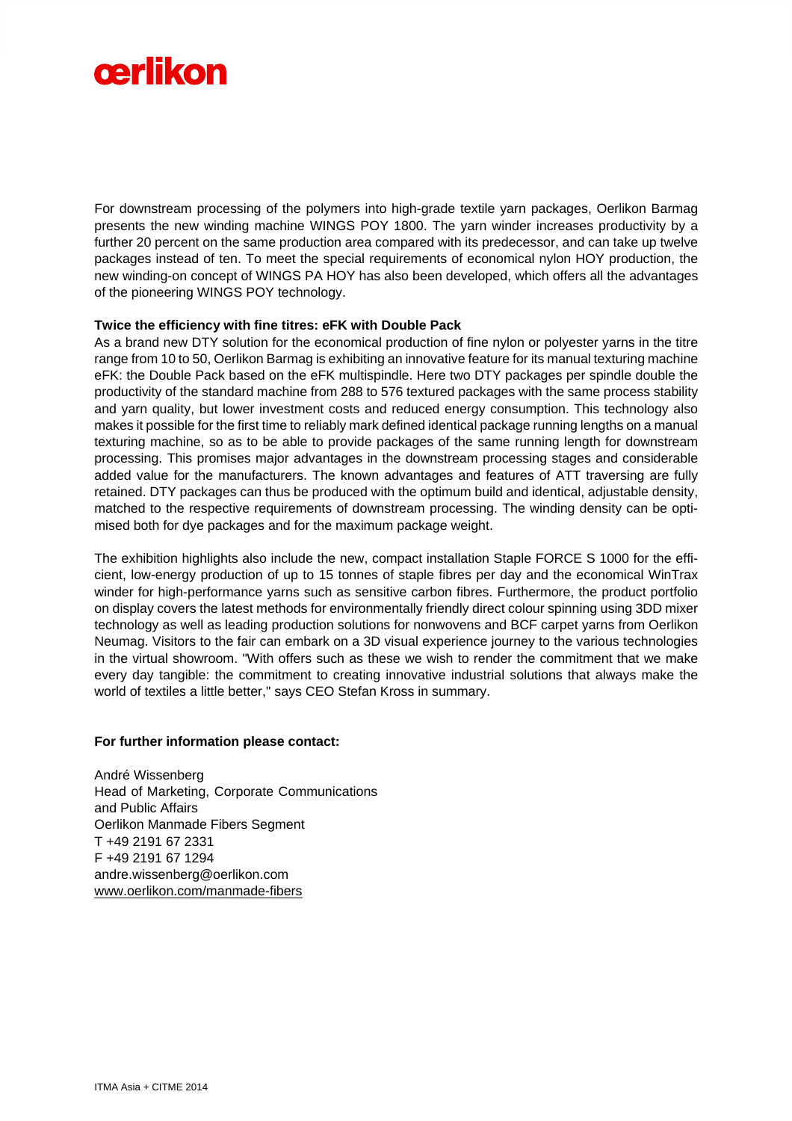

For downstream processing of the polymers into high-grade textile yarn packages, Oerlikon Barmag presents the new winding machine WINGS POY 1800. The yarn winder increases productivity by a further 20 percent on the same production area compared with its predecessor, and can take up twelve packages instead of ten. To meet the special requirements of economical nylon HOY production, the new winding-on concept of WINGS PA HOY has also been developed, which offers all the advantages of the pioneering WINGS POY technology.

## **Twice the efficiency with fine titres: eFK with Double Pack**

As a brand new DTY solution for the economical production of fine nylon or polyester yarns in the titre range from 10 to 50, Oerlikon Barmag is exhibiting an innovative feature for its manual texturing machine eFK: the Double Pack based on the eFK multispindle. Here two DTY packages per spindle double the productivity of the standard machine from 288 to 576 textured packages with the same process stability and yarn quality, but lower investment costs and reduced energy consumption. This technology also makes it possible for the first time to reliably mark defined identical package running lengths on a manual texturing machine, so as to be able to provide packages of the same running length for downstream processing. This promises major advantages in the downstream processing stages and considerable added value for the manufacturers. The known advantages and features of ATT traversing are fully retained. DTY packages can thus be produced with the optimum build and identical, adjustable density, matched to the respective requirements of downstream processing. The winding density can be optimised both for dye packages and for the maximum package weight.

The exhibition highlights also include the new, compact installation Staple FORCE S 1000 for the efficient, low-energy production of up to 15 tonnes of staple fibres per day and the economical WinTrax winder for high-performance yarns such as sensitive carbon fibres. Furthermore, the product portfolio on display covers the latest methods for environmentally friendly direct colour spinning using 3DD mixer technology as well as leading production solutions for nonwovens and BCF carpet yarns from Oerlikon Neumag. Visitors to the fair can embark on a 3D visual experience journey to the various technologies in the virtual showroom. "With offers such as these we wish to render the commitment that we make every day tangible: the commitment to creating innovative industrial solutions that always make the world of textiles a little better," says CEO Stefan Kross in summary.

#### **For further information please contact:**

André Wissenberg Head of Marketing, Corporate Communications and Public Affairs Oerlikon Manmade Fibers Segment T +49 2191 67 2331 F +49 2191 67 1294 andre.wissenberg@oerlikon.com www.oerlikon.com/manmade-fibers